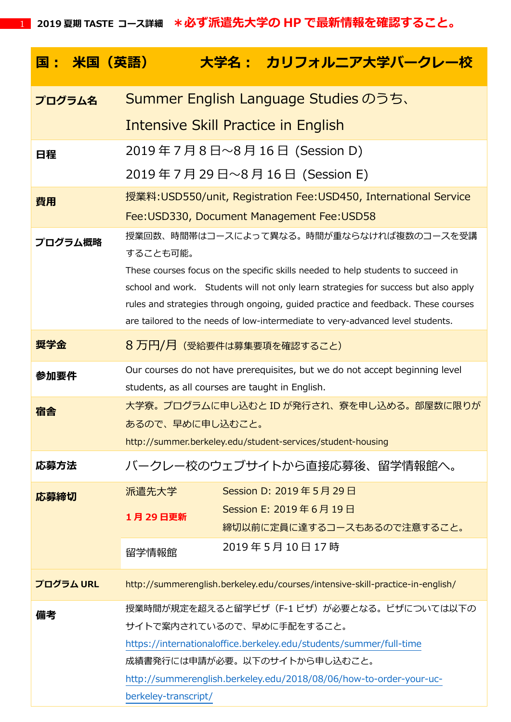|      |           | <u> 国: 米国(英語)</u> |                                                                                                    | 大学名: カリフォルニア大学バークレー校                                                                |  |  |
|------|-----------|-------------------|----------------------------------------------------------------------------------------------------|-------------------------------------------------------------------------------------|--|--|
|      | プログラム名    |                   |                                                                                                    | Summer English Language Studies のうち、                                                |  |  |
|      |           |                   |                                                                                                    | Intensive Skill Practice in English                                                 |  |  |
| 日程   |           |                   |                                                                                                    | 2019年7月8日~8月16日 (Session D)                                                         |  |  |
|      |           |                   |                                                                                                    | 2019年7月29日~8月16日 (Session E)                                                        |  |  |
| 費用   |           |                   | 授業料: USD550/unit, Registration Fee: USD450, International Service                                  |                                                                                     |  |  |
|      |           |                   |                                                                                                    | Fee: USD330, Document Management Fee: USD58                                         |  |  |
|      | プログラム概略   |                   | 授業回数、時間帯はコースによって異なる。時間が重ならなければ複数のコースを受講                                                            |                                                                                     |  |  |
|      |           |                   | することも可能。<br>These courses focus on the specific skills needed to help students to succeed in       |                                                                                     |  |  |
|      |           |                   |                                                                                                    | school and work. Students will not only learn strategies for success but also apply |  |  |
|      |           |                   |                                                                                                    | rules and strategies through ongoing, guided practice and feedback. These courses   |  |  |
|      |           |                   |                                                                                                    | are tailored to the needs of low-intermediate to very-advanced level students.      |  |  |
| 奨学金  |           |                   | 8 万円/月 (受給要件は募集要項を確認すること)                                                                          |                                                                                     |  |  |
| 参加要件 |           |                   |                                                                                                    | Our courses do not have prerequisites, but we do not accept beginning level         |  |  |
| 宿舎   |           |                   | students, as all courses are taught in English.<br>大学寮。 プログラムに申し込むと ID が発行され、 寮を申し込める。 部屋数に限りが     |                                                                                     |  |  |
|      |           |                   | あるので、早めに申し込むこと。                                                                                    |                                                                                     |  |  |
|      |           |                   | http://summer.berkeley.edu/student-services/student-housing                                        |                                                                                     |  |  |
| 応募方法 |           |                   |                                                                                                    | バークレー校のウェブサイトから直接応募後、留学情報館へ。                                                        |  |  |
| 応募締切 |           | 派遣先大学             |                                                                                                    | Session D: 2019年5月29日                                                               |  |  |
|      |           | 1月29日更新           |                                                                                                    | Session E: 2019年6月19日                                                               |  |  |
|      |           |                   |                                                                                                    | 締切以前に定員に達するコースもあるので注意すること。                                                          |  |  |
|      |           | 留学情報館             |                                                                                                    | 2019年5月10日17時                                                                       |  |  |
|      | プログラム URL |                   |                                                                                                    | http://summerenglish.berkeley.edu/courses/intensive-skill-practice-in-english/      |  |  |
| 備考   |           |                   | 授業時間が規定を超えると留学ビザ (F-1 ビザ) が必要となる。ビザについては以下の                                                        |                                                                                     |  |  |
|      |           |                   | サイトで案内されているので、早めに手配をすること。                                                                          |                                                                                     |  |  |
|      |           |                   | https://internationaloffice.berkeley.edu/students/summer/full-time<br>成績書発行には申請が必要。以下のサイトから申し込むこと。 |                                                                                     |  |  |
|      |           |                   | http://summerenglish.berkeley.edu/2018/08/06/how-to-order-your-uc-                                 |                                                                                     |  |  |
|      |           |                   | berkeley-transcript/                                                                               |                                                                                     |  |  |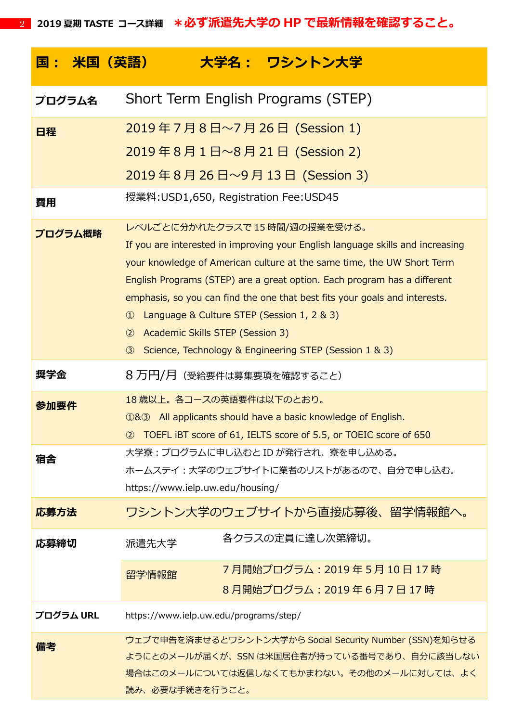| <u> 国: 米国(英語)</u> | 大学名: ワシントン大学                                                                                                                                                                                                                                                                                                                                                                                                                                                                                                                                     |  |  |
|-------------------|--------------------------------------------------------------------------------------------------------------------------------------------------------------------------------------------------------------------------------------------------------------------------------------------------------------------------------------------------------------------------------------------------------------------------------------------------------------------------------------------------------------------------------------------------|--|--|
| プログラム名            | Short Term English Programs (STEP)                                                                                                                                                                                                                                                                                                                                                                                                                                                                                                               |  |  |
| 日程                | 2019年7月8日~7月26日 (Session 1)                                                                                                                                                                                                                                                                                                                                                                                                                                                                                                                      |  |  |
|                   | 2019年8月1日~8月21日 (Session 2)                                                                                                                                                                                                                                                                                                                                                                                                                                                                                                                      |  |  |
|                   | 2019年8月26日~9月13日 (Session 3)                                                                                                                                                                                                                                                                                                                                                                                                                                                                                                                     |  |  |
| 費用                | 授業料: USD1,650, Registration Fee: USD45                                                                                                                                                                                                                                                                                                                                                                                                                                                                                                           |  |  |
| プログラム概略           | レベルごとに分かれたクラスで 15 時間/週の授業を受ける。<br>If you are interested in improving your English language skills and increasing<br>your knowledge of American culture at the same time, the UW Short Term<br>English Programs (STEP) are a great option. Each program has a different<br>emphasis, so you can find the one that best fits your goals and interests.<br>Language & Culture STEP (Session 1, 2 & 3)<br>$\bigcirc$<br>Academic Skills STEP (Session 3)<br>$\circled{2}$<br>Science, Technology & Engineering STEP (Session 1 & 3)<br>$\circled{3}$ |  |  |
| 奨学金               | 8 万円/月(受給要件は募集要項を確認すること)                                                                                                                                                                                                                                                                                                                                                                                                                                                                                                                         |  |  |
| 参加要件              | 18歳以上。各コースの英語要件は以下のとおり。<br>183 All applicants should have a basic knowledge of English.<br>2 TOEFL IBT score of 61, IELTS score of 5.5, or TOEIC score of 650                                                                                                                                                                                                                                                                                                                                                                                    |  |  |
| 宿舎                | 大学寮 : プログラムに申し込むと ID が発行され、寮を申し込める。<br>ホームステイ:大学のウェブサイトに業者のリストがあるので、自分で申し込む。<br>https://www.ielp.uw.edu/housing/                                                                                                                                                                                                                                                                                                                                                                                                                                 |  |  |
| 応募方法              | ワシントン大学のウェブサイトから直接応募後、留学情報館へ。                                                                                                                                                                                                                                                                                                                                                                                                                                                                                                                    |  |  |
| 応募締切              | 各クラスの定員に達し次第締切。<br>派遣先大学                                                                                                                                                                                                                                                                                                                                                                                                                                                                                                                         |  |  |
|                   | 7月開始プログラム:2019 年 5 月 10 日 17 時<br>留学情報館<br>8月開始プログラム: 2019年6月7日17時                                                                                                                                                                                                                                                                                                                                                                                                                                                                               |  |  |
| プログラム URL         | https://www.ielp.uw.edu/programs/step/                                                                                                                                                                                                                                                                                                                                                                                                                                                                                                           |  |  |
| 備考                | ウェブで申告を済ませるとワシントン大学から Social Security Number (SSN)を知らせる<br>ようにとのメールが届くが、SSN は米国居住者が持っている番号であり、自分に該当しない<br>場合はこのメールについては返信しなくてもかまわない。その他のメールに対しては、 よく<br>読み、必要な手続きを行うこと。                                                                                                                                                                                                                                                                                                                                                                          |  |  |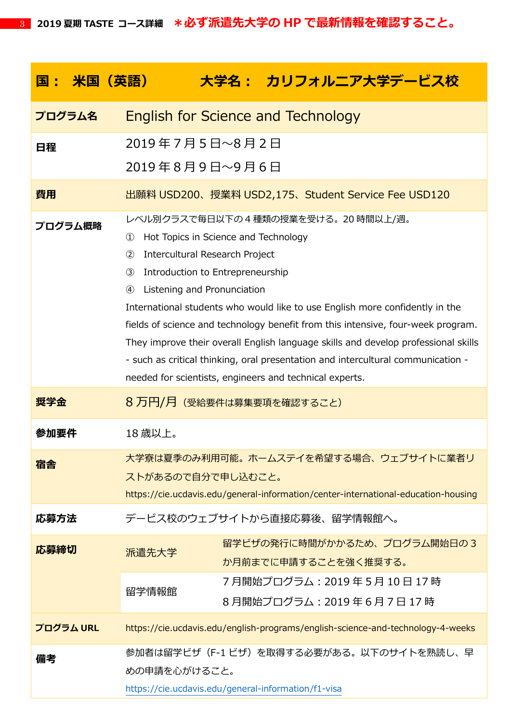| - 米国(英語)<br>国: |                                                                                                                                                                                                                                                                                                                                                                                                                                                                                                                                                                                                                                                                        | 大学名: カリフォルニア大学デービス校                                                                                                         |  |  |
|----------------|------------------------------------------------------------------------------------------------------------------------------------------------------------------------------------------------------------------------------------------------------------------------------------------------------------------------------------------------------------------------------------------------------------------------------------------------------------------------------------------------------------------------------------------------------------------------------------------------------------------------------------------------------------------------|-----------------------------------------------------------------------------------------------------------------------------|--|--|
| プログラム名         | <b>English for Science and Technology</b>                                                                                                                                                                                                                                                                                                                                                                                                                                                                                                                                                                                                                              |                                                                                                                             |  |  |
| 日程             | 2019年7月5日~8月2日<br>2019年8月9日~9月6日                                                                                                                                                                                                                                                                                                                                                                                                                                                                                                                                                                                                                                       |                                                                                                                             |  |  |
| 費用             | 出願料 USD200、授業料 USD2,175、Student Service Fee USD120                                                                                                                                                                                                                                                                                                                                                                                                                                                                                                                                                                                                                     |                                                                                                                             |  |  |
| プログラム概略        | レベル別クラスで毎日以下の 4 種類の授業を受ける。 20 時間以上/週。<br>Hot Topics in Science and Technology<br>$\textcircled{\scriptsize{1}}$<br>Intercultural Research Project<br>(2)<br>Introduction to Entrepreneurship<br>$\circled{3}$<br>$\circled{4}$<br>Listening and Pronunciation<br>International students who would like to use English more confidently in the<br>fields of science and technology benefit from this intensive, four-week program.<br>They improve their overall English language skills and develop professional skills<br>- such as critical thinking, oral presentation and intercultural communication -<br>needed for scientists, engineers and technical experts. |                                                                                                                             |  |  |
| 奨学金            | 8 万円/月 (受給要件は募集要項を確認すること)                                                                                                                                                                                                                                                                                                                                                                                                                                                                                                                                                                                                                                              |                                                                                                                             |  |  |
| 参加要件           | 18歳以上。                                                                                                                                                                                                                                                                                                                                                                                                                                                                                                                                                                                                                                                                 |                                                                                                                             |  |  |
| 宿舎             | ストがあるので自分で申し込むこと。                                                                                                                                                                                                                                                                                                                                                                                                                                                                                                                                                                                                                                                      | 大学寮は夏季のみ利用可能。ホームステイを希望する場合、ウェブサイトに業者リ<br>https://cie.ucdavis.edu/general-information/center-international-education-housing |  |  |
| 応募方法           |                                                                                                                                                                                                                                                                                                                                                                                                                                                                                                                                                                                                                                                                        | デービス校のウェブサイトから直接応募後、留学情報館へ。                                                                                                 |  |  |
| 応募締切           | 派遣先大学<br>留学情報館                                                                                                                                                                                                                                                                                                                                                                                                                                                                                                                                                                                                                                                         | 留学ビザの発行に時間がかかるため、プログラム開始日の3<br>か月前までに申請することを強く推奨する。<br>7月開始プログラム:2019 年 5 月 10 日 17 時<br>8月開始プログラム: 2019年6月7日17時            |  |  |
| プログラム URL      |                                                                                                                                                                                                                                                                                                                                                                                                                                                                                                                                                                                                                                                                        | https://cie.ucdavis.edu/english-programs/english-science-and-technology-4-weeks                                             |  |  |
| 備考             | めの申請を心がけること。                                                                                                                                                                                                                                                                                                                                                                                                                                                                                                                                                                                                                                                           | 参加者は留学ビザ(F-1 ビザ)を取得する必要がある。以下のサイトを熟読し、早<br>https://cie.ucdavis.edu/general-information/f1-visa                              |  |  |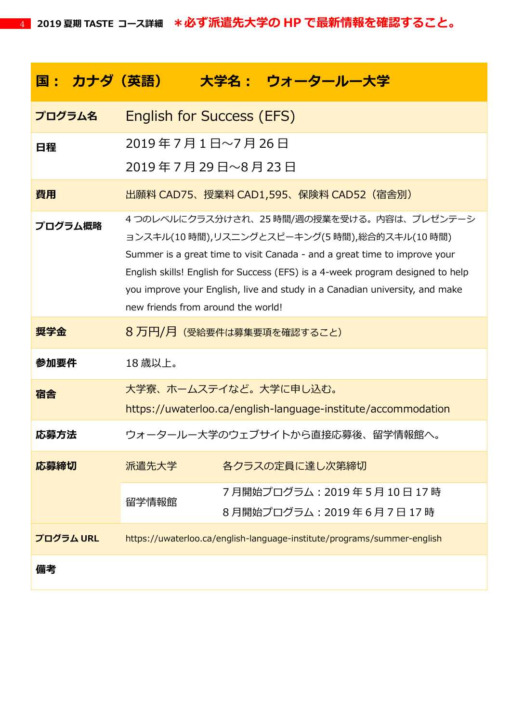| <u> 国: カナダ(英語) - </u> |                                                                                                                                                                                                                                                                                                                                                                                |  | 大学名: ウォータールー大学                                                          |
|-----------------------|--------------------------------------------------------------------------------------------------------------------------------------------------------------------------------------------------------------------------------------------------------------------------------------------------------------------------------------------------------------------------------|--|-------------------------------------------------------------------------|
| プログラム名                | <b>English for Success (EFS)</b>                                                                                                                                                                                                                                                                                                                                               |  |                                                                         |
| 日程                    | 2019年7月1日~7月26日                                                                                                                                                                                                                                                                                                                                                                |  |                                                                         |
|                       | 2019年7月29日~8月23日                                                                                                                                                                                                                                                                                                                                                               |  |                                                                         |
| 費用                    |                                                                                                                                                                                                                                                                                                                                                                                |  | 出願料 CAD75、授業料 CAD1,595、保険料 CAD52(宿舎別)                                   |
| プログラム概略               | 4つのレベルにクラス分けされ、25 時間/週の授業を受ける。内容は、プレゼンテーシ<br>ョンスキル(10 時間),リスニングとスピーキング(5 時間),総合的スキル(10 時間)<br>Summer is a great time to visit Canada - and a great time to improve your<br>English skills! English for Success (EFS) is a 4-week program designed to help<br>you improve your English, live and study in a Canadian university, and make<br>new friends from around the world! |  |                                                                         |
| 奨学金                   | 8 万円/月 (受給要件は募集要項を確認すること)                                                                                                                                                                                                                                                                                                                                                      |  |                                                                         |
| 参加要件                  | 18歳以上。                                                                                                                                                                                                                                                                                                                                                                         |  |                                                                         |
| 宿舎                    | 大学寮、ホームステイなど。大学に申し込む。                                                                                                                                                                                                                                                                                                                                                          |  | https://uwaterloo.ca/english-language-institute/accommodation           |
| 応募方法                  |                                                                                                                                                                                                                                                                                                                                                                                |  | ウォータールー大学のウェブサイトから直接応募後、留学情報館へ。                                         |
| 応募締切                  | 派遣先大学                                                                                                                                                                                                                                                                                                                                                                          |  | 各クラスの定員に達し次第締切                                                          |
|                       | 留学情報館                                                                                                                                                                                                                                                                                                                                                                          |  | 7月開始プログラム: 2019年5月10日17時<br>8月開始プログラム: 2019年6月7日17時                     |
| プログラム URL             |                                                                                                                                                                                                                                                                                                                                                                                |  | https://uwaterloo.ca/english-language-institute/programs/summer-english |
| 備考                    |                                                                                                                                                                                                                                                                                                                                                                                |  |                                                                         |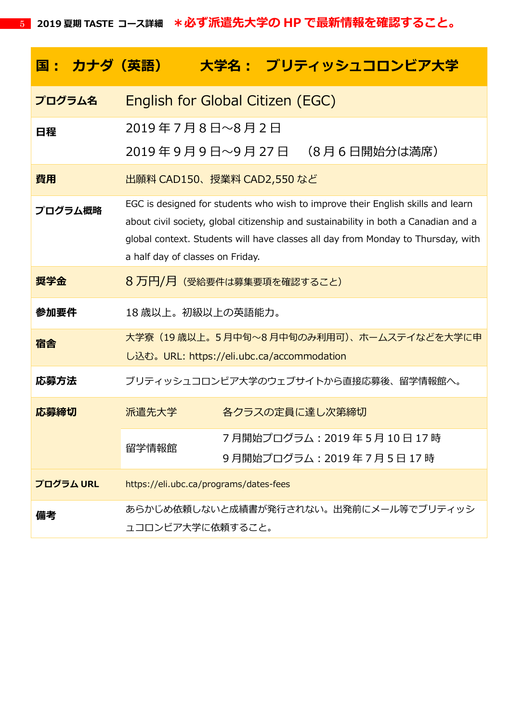| <u> 国 : カナダ(英語) </u> | 大学名: ブリティッシュコロンビア大学                                                                                                                                                                                                                                                                            |  |  |
|----------------------|------------------------------------------------------------------------------------------------------------------------------------------------------------------------------------------------------------------------------------------------------------------------------------------------|--|--|
| プログラム名               | English for Global Citizen (EGC)                                                                                                                                                                                                                                                               |  |  |
| 日程                   | 2019年7月8日~8月2日<br>2019 年 9 月 9 日〜9 月 27 日 (8 月 6 日開始分は満席)                                                                                                                                                                                                                                      |  |  |
| 費用                   | 出願料 CAD150、授業料 CAD2,550 など                                                                                                                                                                                                                                                                     |  |  |
| プログラム概略              | EGC is designed for students who wish to improve their English skills and learn<br>about civil society, global citizenship and sustainability in both a Canadian and a<br>global context. Students will have classes all day from Monday to Thursday, with<br>a half day of classes on Friday. |  |  |
| 奨学金                  | 8 万円/月 (受給要件は募集要項を確認すること)                                                                                                                                                                                                                                                                      |  |  |
| 参加要件                 | 18 歳以上。初級以上の英語能力。                                                                                                                                                                                                                                                                              |  |  |
| 宿舎                   | 大学寮(19 歳以上。 5 月中旬~8 月中旬のみ利用可)、 ホームステイなどを大学に申<br>し込む。URL: https://eli.ubc.ca/accommodation                                                                                                                                                                                                      |  |  |
| 応募方法                 | ブリティッシュコロンビア大学のウェブサイトから直接応募後、留学情報館へ。                                                                                                                                                                                                                                                           |  |  |
| 応募締切                 | 派遣先大学<br>各クラスの定員に達し次第締切                                                                                                                                                                                                                                                                        |  |  |
|                      | 7月開始プログラム: 2019年5月10日17時<br>留学情報館<br>9月開始プログラム: 2019年7月5日17時                                                                                                                                                                                                                                   |  |  |
| プログラム URL            | https://eli.ubc.ca/programs/dates-fees                                                                                                                                                                                                                                                         |  |  |
| 備考                   | あらかじめ依頼しないと成績書が発行されない。出発前にメール等でブリティッシ<br>ュコロンビア大学に依頼すること。                                                                                                                                                                                                                                      |  |  |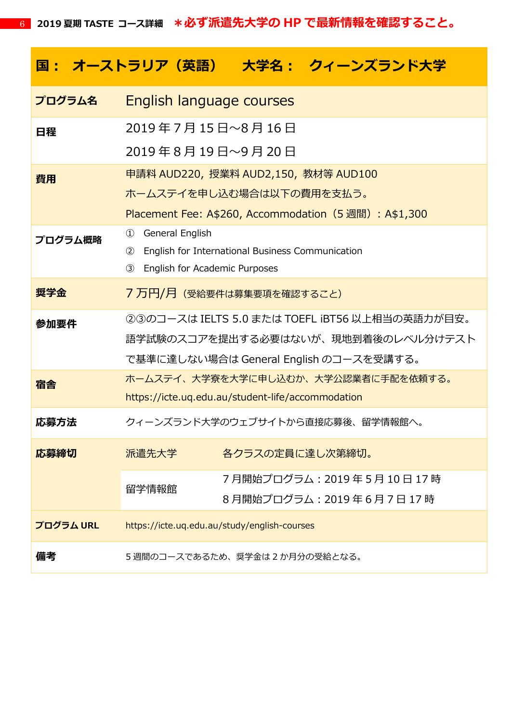|           |                                                         |                 | 国: オーストラリア(英語) 大学名: クィーンズランド大学                         |  |
|-----------|---------------------------------------------------------|-----------------|--------------------------------------------------------|--|
| プログラム名    | English language courses                                |                 |                                                        |  |
| 日程        | 2019年 7 月 15 日~8 月 16 日                                 |                 |                                                        |  |
|           | 2019年8月19日~9月20日                                        |                 |                                                        |  |
| 費用        | 申請料 AUD220, 授業料 AUD2,150, 教材等 AUD100                    |                 |                                                        |  |
|           | ホームステイを申し込む場合は以下の費用を支払う。                                |                 |                                                        |  |
|           |                                                         |                 | Placement Fee: A\$260, Accommodation (5 週間) : A\$1,300 |  |
| プログラム概略   | $\circled{1}$<br>General English                        |                 |                                                        |  |
|           | English for International Business Communication<br>(2) |                 |                                                        |  |
|           | $\circled{3}$<br>English for Academic Purposes          |                 |                                                        |  |
| 奨学金       | 7 万円/月 (受給要件は募集要項を確認すること)                               |                 |                                                        |  |
| 参加要件      | ②③のコースは IELTS 5.0 または TOEFL iBT56 以上相当の英語力が目安。          |                 |                                                        |  |
|           | 語学試験のスコアを提出する必要はないが、現地到着後のレベル分けテスト                      |                 |                                                        |  |
|           |                                                         |                 | で基準に達しない場合は General English のコースを受講する。                 |  |
| 宿舎        |                                                         |                 | ホームステイ、大学寮を大学に申し込むか、大学公認業者に手配を依頼する。                    |  |
|           | https://icte.uq.edu.au/student-life/accommodation       |                 |                                                        |  |
| 応募方法      |                                                         |                 | クィーンズランド大学のウェブサイトから直接応募後、留学情報館へ。                       |  |
| 応募締切      | 派遣先大学                                                   | 各クラスの定員に達し次第締切。 |                                                        |  |
|           | 留学情報館                                                   |                 | 7月開始プログラム:2019 年 5 月 10 日 17 時                         |  |
|           |                                                         |                 | 8月開始プログラム: 2019年6月7日17時                                |  |
| プログラム URL | https://icte.uq.edu.au/study/english-courses            |                 |                                                        |  |
| 備考        | 5 週間のコースであるため、奨学金は2か月分の受給となる。                           |                 |                                                        |  |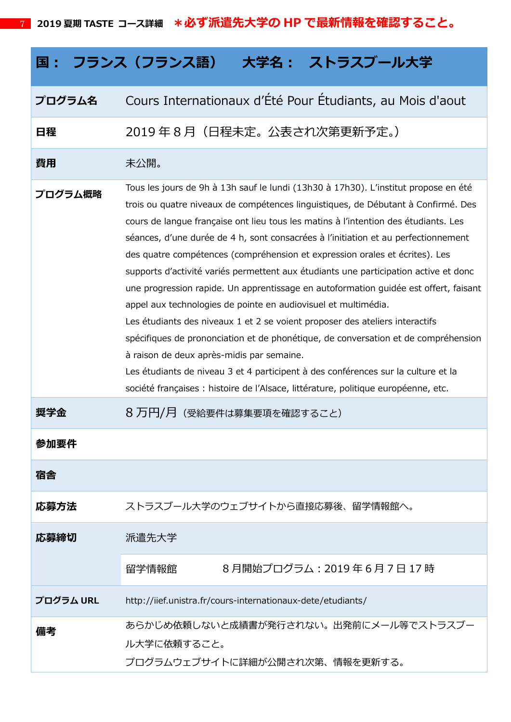# **国: フランス(フランス語) 大学名: ストラスブール大学**

## **プログラム名** Cours Internationaux d'Été Pour Étudiants, au Mois d'aout

## **日程** 2019 年 8 月(日程未定。公表され次第更新予定。)

#### **費用** 未公開。

**プログラム概略** Tous les jours de 9h à 13h sauf le lundi (13h30 à 17h30). L'institut propose en été trois ou quatre niveaux de compétences linguistiques, de Débutant à Confirmé. Des cours de langue française ont lieu tous les matins à l'intention des étudiants. Les séances, d'une durée de 4 h, sont consacrées à l'initiation et au perfectionnement des quatre compétences (compréhension et expression orales et écrites). Les supports d'activité variés permettent aux étudiants une participation active et donc une progression rapide. Un apprentissage en autoformation guidée est offert, faisant appel aux technologies de pointe en audiovisuel et multimédia. Les étudiants des niveaux 1 et 2 se voient proposer des ateliers interactifs spécifiques de prononciation et de phonétique, de conversation et de compréhension à raison de deux après-midis par semaine.

Les étudiants de niveau 3 et 4 participent à des conférences sur la culture et la société françaises : histoire de l'Alsace, littérature, politique européenne, etc.

### **奨学金** 8 万円/月(受給要件は募集要項を確認すること)

| 参加要件      |                                                                                         |
|-----------|-----------------------------------------------------------------------------------------|
| 宿舎        |                                                                                         |
| 応募方法      | ストラスブール大学のウェブサイトから直接応募後、留学情報館へ。                                                         |
| 応募締切      | 派遣先大学                                                                                   |
|           | 8月開始プログラム: 2019年6月7日17時<br>留学情報館                                                        |
| プログラム URL | http://iief.unistra.fr/cours-internationaux-dete/etudiants/                             |
| 備考        | あらかじめ依頼しないと成績書が発行されない。 出発前にメール等でストラスブー<br>ル大学に依頼すること。<br>プログラムウェブサイトに詳細が公開され次第、情報を更新する。 |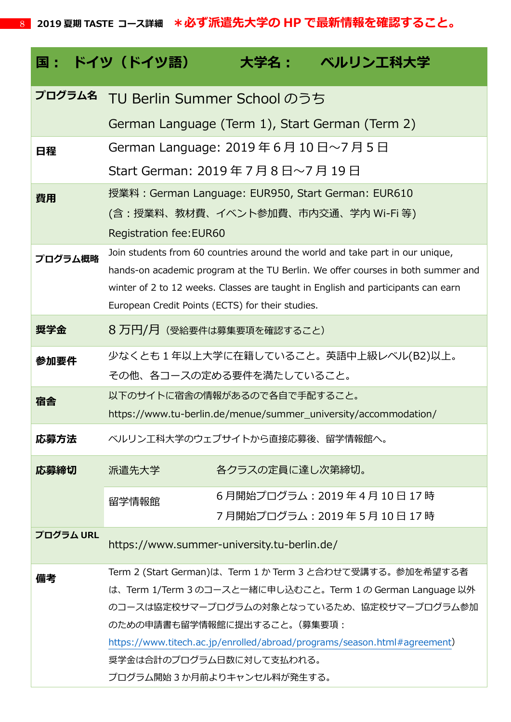|           | 国 : ドイツ(ドイツ語)                                                                                           | 大学名:            | ベルリンエ科大学                                                                                                                                                         |  |
|-----------|---------------------------------------------------------------------------------------------------------|-----------------|------------------------------------------------------------------------------------------------------------------------------------------------------------------|--|
| プログラム名    | TU Berlin Summer School のうち                                                                             |                 |                                                                                                                                                                  |  |
|           | German Language (Term 1), Start German (Term 2)                                                         |                 |                                                                                                                                                                  |  |
| 日程        | German Language: 2019年6月10日~7月5日                                                                        |                 |                                                                                                                                                                  |  |
|           | Start German: 2019年7月8日~7月19日                                                                           |                 |                                                                                                                                                                  |  |
| 費用        | 授業料: German Language: EUR950, Start German: EUR610                                                      |                 |                                                                                                                                                                  |  |
|           |                                                                                                         |                 | (含:授業料、教材費、イベント参加費、市内交通、学内 Wi-Fi 等)                                                                                                                              |  |
|           | <b>Registration fee: EUR60</b>                                                                          |                 |                                                                                                                                                                  |  |
| プログラム概略   |                                                                                                         |                 | Join students from 60 countries around the world and take part in our unique,<br>hands-on academic program at the TU Berlin. We offer courses in both summer and |  |
|           |                                                                                                         |                 | winter of 2 to 12 weeks. Classes are taught in English and participants can earn                                                                                 |  |
|           | European Credit Points (ECTS) for their studies.                                                        |                 |                                                                                                                                                                  |  |
| 奨学金       | 8 万円/月 (受給要件は募集要項を確認すること)                                                                               |                 |                                                                                                                                                                  |  |
| 参加要件      |                                                                                                         |                 | 少なくとも 1 年以上大学に在籍していること。 英語中上級レベル(B2)以上。                                                                                                                          |  |
|           | その他、各コースの定める要件を満たしていること。                                                                                |                 |                                                                                                                                                                  |  |
| 宿舎        | 以下のサイトに宿舎の情報があるので各自で手配すること。                                                                             |                 |                                                                                                                                                                  |  |
|           |                                                                                                         |                 | https://www.tu-berlin.de/menue/summer_university/accommodation/                                                                                                  |  |
| 応募方法      | ベルリン工科大学のウェブサイトから直接応募後、留学情報館へ。                                                                          |                 |                                                                                                                                                                  |  |
| 応募締切      | 派遣先大学                                                                                                   | 各クラスの定員に達し次第締切。 |                                                                                                                                                                  |  |
|           | 留学情報館                                                                                                   |                 | 6月開始プログラム: 2019年4月10日17時                                                                                                                                         |  |
|           |                                                                                                         |                 | 7月開始プログラム:2019 年 5 月 10 日 17 時                                                                                                                                   |  |
| プログラム URL | https://www.summer-university.tu-berlin.de/                                                             |                 |                                                                                                                                                                  |  |
| 備考        | Term 2 (Start German)は、Term 1 か Term 3 と合わせて受講する。参加を希望する者                                               |                 |                                                                                                                                                                  |  |
|           | は、Term 1/Term 3 のコースと一緒に申し込むこと。Term 1 の German Language 以外<br>のコースは協定校サマープログラムの対象となっているため、協定校サマープログラム参加 |                 |                                                                                                                                                                  |  |
|           | のための申請書も留学情報館に提出すること。(募集要項:                                                                             |                 |                                                                                                                                                                  |  |
|           |                                                                                                         |                 | https://www.titech.ac.jp/enrolled/abroad/programs/season.html#agreement)                                                                                         |  |
|           | 奨学金は合計のプログラム日数に対して支払われる。                                                                                |                 |                                                                                                                                                                  |  |
|           | プログラム開始3か月前よりキャンセル料が発生する。                                                                               |                 |                                                                                                                                                                  |  |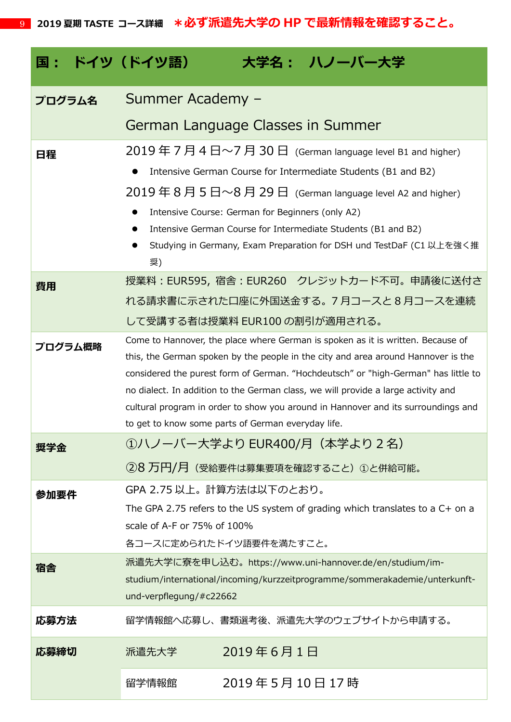| 国: ドイツ(ドイツ語) | 大学名: ハノーバー大学                                                                                                                                                                                                                                                                                                                                                                                                                                                                                                                          |  |  |  |
|--------------|---------------------------------------------------------------------------------------------------------------------------------------------------------------------------------------------------------------------------------------------------------------------------------------------------------------------------------------------------------------------------------------------------------------------------------------------------------------------------------------------------------------------------------------|--|--|--|
| プログラム名       | Summer Academy -                                                                                                                                                                                                                                                                                                                                                                                                                                                                                                                      |  |  |  |
|              | German Language Classes in Summer                                                                                                                                                                                                                                                                                                                                                                                                                                                                                                     |  |  |  |
| 日程           | $2019 \n\pm 7$ 月 4 日~7 月 30 日 (German language level B1 and higher)<br>Intensive German Course for Intermediate Students (B1 and B2)<br>$2019 \n\mathrel{\mathsf{4}} 8 \n\mathrel{\mathsf{4}} 5 \n\mathrel{\mathsf{4}} \sim 8 \n\mathrel{\mathsf{4}} 29 \n\mathrel{\mathsf{4}}$ (German language level A2 and higher)<br>Intensive Course: German for Beginners (only A2)<br>Intensive German Course for Intermediate Students (B1 and B2)<br>$\bullet$<br>Studying in Germany, Exam Preparation for DSH und TestDaF (C1 以上を強く推<br>奨) |  |  |  |
| 費用           | 授業料: EUR595, 宿舎: EUR260 クレジットカード不可。申請後に送付さ<br>れる請求書に示された口座に外国送金する。7月コースと8月コースを連続<br>して受講する者は授業料 EUR100 の割引が適用される。                                                                                                                                                                                                                                                                                                                                                                                                                     |  |  |  |
| プログラム概略      | Come to Hannover, the place where German is spoken as it is written. Because of<br>this, the German spoken by the people in the city and area around Hannover is the<br>considered the purest form of German. "Hochdeutsch" or "high-German" has little to<br>no dialect. In addition to the German class, we will provide a large activity and<br>cultural program in order to show you around in Hannover and its surroundings and<br>to get to know some parts of German everyday life.                                            |  |  |  |
| 继字金          | ①ハノーバー大学より EUR400/月(本学より 2 名)<br>②8 万円/月 (受給要件は募集要項を確認すること)①と併給可能。                                                                                                                                                                                                                                                                                                                                                                                                                                                                    |  |  |  |
| 参加要件         | GPA 2.75 以上。計算方法は以下のとおり。<br>The GPA 2.75 refers to the US system of grading which translates to a $C+$ on a<br>scale of A-F or 75% of 100%<br>各コースに定められたドイツ語要件を満たすこと。                                                                                                                                                                                                                                                                                                                                                                 |  |  |  |
| 宿舎           | 派遣先大学に寮を申し込む。https://www.uni-hannover.de/en/studium/im-<br>studium/international/incoming/kurzzeitprogramme/sommerakademie/unterkunft-<br>und-verpflegung/#c22662                                                                                                                                                                                                                                                                                                                                                                     |  |  |  |
| 応募方法         | 留学情報館へ応募し、書類選考後、派遣先大学のウェブサイトから申請する。                                                                                                                                                                                                                                                                                                                                                                                                                                                                                                   |  |  |  |
| 応募締切         | 2019年6月1日<br>派遣先大学                                                                                                                                                                                                                                                                                                                                                                                                                                                                                                                    |  |  |  |
|              | 2019年5月10日17時<br>留学情報館                                                                                                                                                                                                                                                                                                                                                                                                                                                                                                                |  |  |  |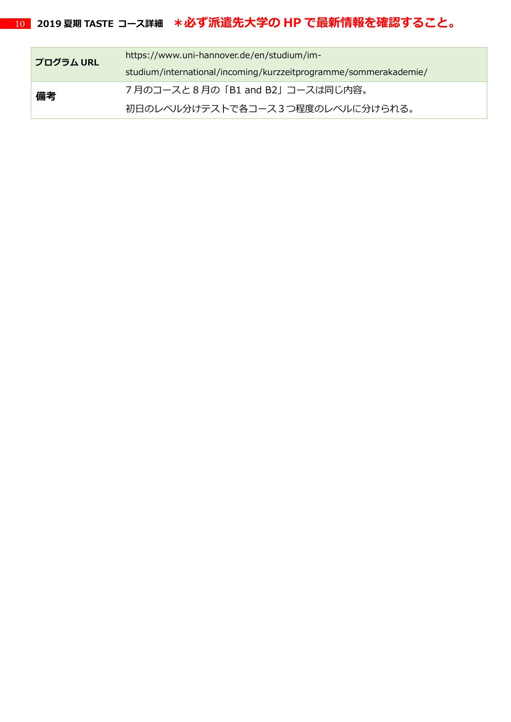| プログラム URL | https://www.uni-hannover.de/en/studium/im-                       |
|-----------|------------------------------------------------------------------|
|           | studium/international/incoming/kurzzeitprogramme/sommerakademie/ |
| 備考        | 7月のコースと8月の「B1 and B2」コースは同じ内容。                                   |
|           | 初日のレベル分けテストで各コース3つ程度のレベルに分けられる。                                  |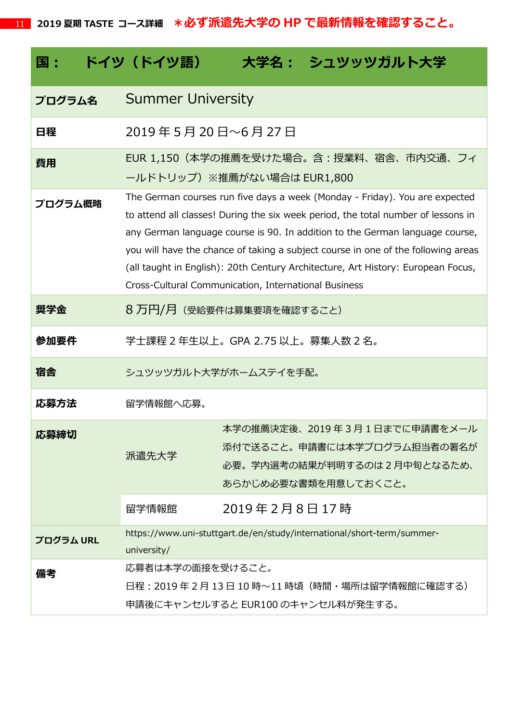| 国:        | ドイツ(ドイツ語)                                            |              | 大学名: シュツッツガルト大学                                                                                                                                                                                                                                                                                                                                                                                                           |
|-----------|------------------------------------------------------|--------------|---------------------------------------------------------------------------------------------------------------------------------------------------------------------------------------------------------------------------------------------------------------------------------------------------------------------------------------------------------------------------------------------------------------------------|
| プログラム名    | <b>Summer University</b>                             |              |                                                                                                                                                                                                                                                                                                                                                                                                                           |
| 日程        | 2019年5月20日~6月27日                                     |              |                                                                                                                                                                                                                                                                                                                                                                                                                           |
| 費用        | ールドトリップ) ※推薦がない場合は EUR1,800                          |              | EUR 1,150(本学の推薦を受けた場合。含:授業料、宿舎、市内交通、フィ                                                                                                                                                                                                                                                                                                                                                                                    |
| プログラム概略   | Cross-Cultural Communication, International Business |              | The German courses run five days a week (Monday - Friday). You are expected<br>to attend all classes! During the six week period, the total number of lessons in<br>any German language course is 90. In addition to the German language course,<br>you will have the chance of taking a subject course in one of the following areas<br>(all taught in English): 20th Century Architecture, Art History: European Focus, |
| 奨学金       | 8 万円/月 (受給要件は募集要項を確認すること)                            |              |                                                                                                                                                                                                                                                                                                                                                                                                                           |
| 参加要件      | 学士課程 2 年生以上。GPA 2.75 以上。募集人数 2 名。                    |              |                                                                                                                                                                                                                                                                                                                                                                                                                           |
| 宿舎        | シュツッツガルト大学がホームステイを手配。                                |              |                                                                                                                                                                                                                                                                                                                                                                                                                           |
| 応募方法      | 留学情報館へ応募。                                            |              |                                                                                                                                                                                                                                                                                                                                                                                                                           |
| 応募締切      | 派遣先大学                                                |              | 本学の推薦決定後、2019 年 3 月 1 日までに申請書をメール<br>添付で送ること。申請書には本学プログラム担当者の署名が<br>必要。学内選考の結果が判明するのは2月中旬となるため、<br>あらかじめ必要な書類を用意しておくこと。                                                                                                                                                                                                                                                                                                   |
|           | 留学情報館                                                | 2019年2月8日17時 |                                                                                                                                                                                                                                                                                                                                                                                                                           |
| プログラム URL | university/                                          |              | https://www.uni-stuttgart.de/en/study/international/short-term/summer-                                                                                                                                                                                                                                                                                                                                                    |
| 備考        | 応募者は本学の面接を受けること。                                     |              | 日程:2019年2月13日10時~11時頃(時間・場所は留学情報館に確認する)<br>申請後にキャンセルすると EUR100 のキャンセル料が発生する。                                                                                                                                                                                                                                                                                                                                              |